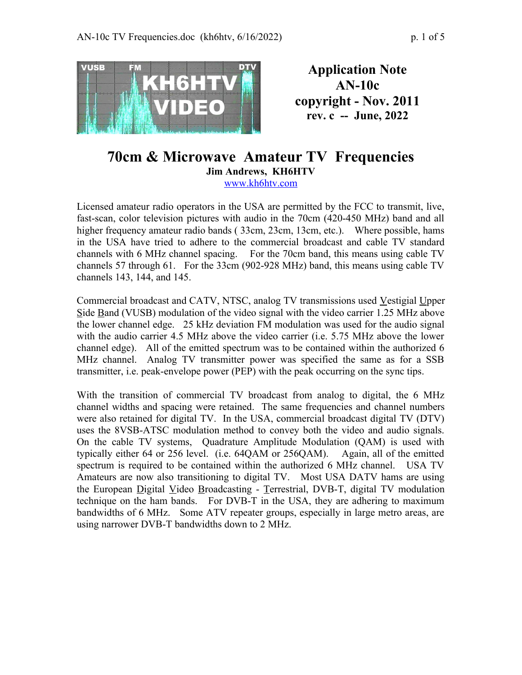

**Application Note AN-10c copyright - Nov. 2011 rev. c -- June, 2022**

## **70cm & Microwave Amateur TV Frequencies Jim Andrews, KH6HTV** [www.kh6htv.com](http://www.kh6htv.com/)

Licensed amateur radio operators in the USA are permitted by the FCC to transmit, live, fast-scan, color television pictures with audio in the 70cm (420-450 MHz) band and all higher frequency amateur radio bands ( 33cm, 23cm, 13cm, etc.). Where possible, hams in the USA have tried to adhere to the commercial broadcast and cable TV standard channels with 6 MHz channel spacing. For the 70cm band, this means using cable TV channels 57 through 61. For the 33cm (902-928 MHz) band, this means using cable TV channels 143, 144, and 145.

Commercial broadcast and CATV, NTSC, analog TV transmissions used Vestigial Upper Side Band (VUSB) modulation of the video signal with the video carrier 1.25 MHz above the lower channel edge. 25 kHz deviation FM modulation was used for the audio signal with the audio carrier 4.5 MHz above the video carrier (i.e. 5.75 MHz above the lower channel edge). All of the emitted spectrum was to be contained within the authorized 6 MHz channel. Analog TV transmitter power was specified the same as for a SSB transmitter, i.e. peak-envelope power (PEP) with the peak occurring on the sync tips.

With the transition of commercial TV broadcast from analog to digital, the 6 MHz channel widths and spacing were retained. The same frequencies and channel numbers were also retained for digital TV. In the USA, commercial broadcast digital TV (DTV) uses the 8VSB-ATSC modulation method to convey both the video and audio signals. On the cable TV systems, Quadrature Amplitude Modulation (QAM) is used with typically either 64 or 256 level. (i.e. 64QAM or 256QAM). Again, all of the emitted spectrum is required to be contained within the authorized 6 MHz channel. USA TV Amateurs are now also transitioning to digital TV. Most USA DATV hams are using the European Digital Video Broadcasting - Terrestrial, DVB-T, digital TV modulation technique on the ham bands. For DVB-T in the USA, they are adhering to maximum bandwidths of 6 MHz. Some ATV repeater groups, especially in large metro areas, are using narrower DVB-T bandwidths down to 2 MHz.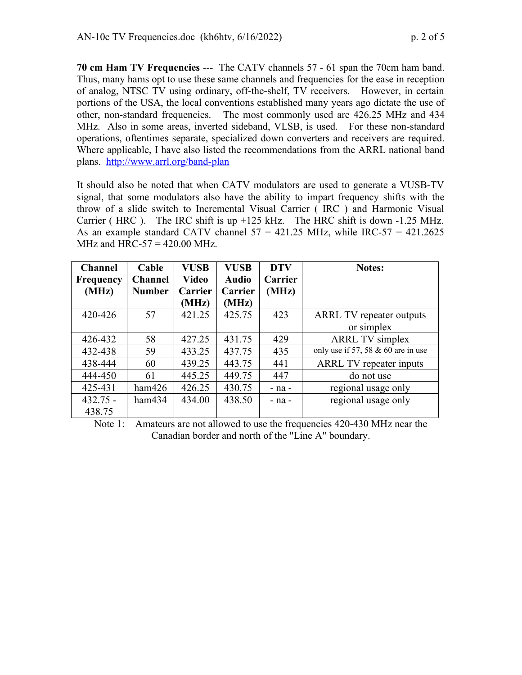**70 cm Ham TV Frequencies** --- The CATV channels 57 - 61 span the 70cm ham band. Thus, many hams opt to use these same channels and frequencies for the ease in reception of analog, NTSC TV using ordinary, off-the-shelf, TV receivers. However, in certain portions of the USA, the local conventions established many years ago dictate the use of other, non-standard frequencies. The most commonly used are 426.25 MHz and 434 MHz. Also in some areas, inverted sideband, VLSB, is used. For these non-standard operations, oftentimes separate, specialized down converters and receivers are required. Where applicable, I have also listed the recommendations from the ARRL national band plans. <http://www.arrl.org/band-plan>

It should also be noted that when CATV modulators are used to generate a VUSB-TV signal, that some modulators also have the ability to impart frequency shifts with the throw of a slide switch to Incremental Visual Carrier ( IRC ) and Harmonic Visual Carrier ( HRC ). The IRC shift is up  $+125$  kHz. The HRC shift is down  $-1.25$  MHz. As an example standard CATV channel  $57 = 421.25$  MHz, while IRC- $57 = 421.2625$ MHz and HRC-57 =  $420.00$  MHz.

| <b>Channel</b>   | Cable          | <b>VUSB</b>    | <b>VUSB</b>  | <b>DTV</b>     | <b>Notes:</b>                        |
|------------------|----------------|----------------|--------------|----------------|--------------------------------------|
| <b>Frequency</b> | <b>Channel</b> | <b>Video</b>   | <b>Audio</b> | <b>Carrier</b> |                                      |
| (MHz)            | <b>Number</b>  | <b>Carrier</b> | Carrier      | (MHz)          |                                      |
|                  |                | (MHz)          | (MHz)        |                |                                      |
| 420-426          | 57             | 421.25         | 425.75       | 423            | <b>ARRL TV</b> repeater outputs      |
|                  |                |                |              |                | or simplex                           |
| 426-432          | 58             | 427.25         | 431.75       | 429            | <b>ARRL TV</b> simplex               |
| 432-438          | 59             | 433.25         | 437.75       | 435            | only use if 57, 58 $& 60$ are in use |
| 438-444          | 60             | 439.25         | 443.75       | 441            | ARRL TV repeater inputs              |
| 444-450          | 61             | 445.25         | 449.75       | 447            | do not use                           |
| 425-431          | ham426         | 426.25         | 430.75       | $-$ na $-$     | regional usage only                  |
| $432.75 -$       | ham434         | 434.00         | 438.50       | $-$ na $-$     | regional usage only                  |
| 438.75           |                |                |              |                |                                      |

Note 1: Amateurs are not allowed to use the frequencies 420-430 MHz near the Canadian border and north of the "Line A" boundary.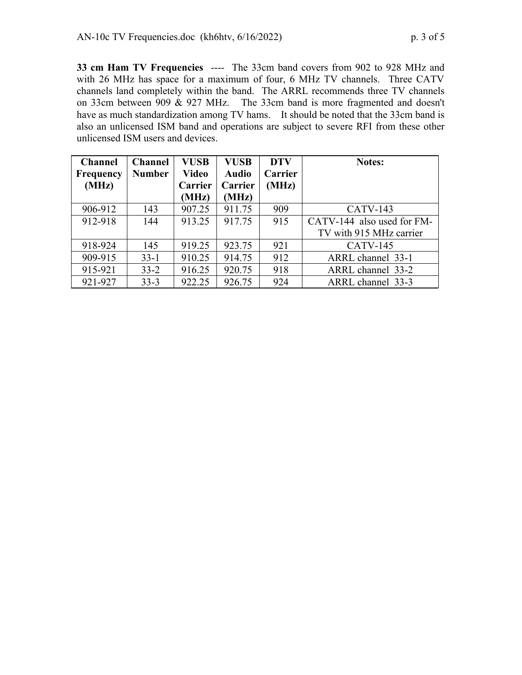**33 cm Ham TV Frequencies** ---- The 33cm band covers from 902 to 928 MHz and with 26 MHz has space for a maximum of four, 6 MHz TV channels. Three CATV channels land completely within the band. The ARRL recommends three TV channels on 33cm between 909 & 927 MHz. The 33cm band is more fragmented and doesn't have as much standardization among TV hams. It should be noted that the 33cm band is also an unlicensed ISM band and operations are subject to severe RFI from these other unlicensed ISM users and devices.

| <b>Channel</b> | <b>Channel</b> | <b>VUSB</b> | <b>VUSB</b>  | <b>DTV</b>     | <b>Notes:</b>              |
|----------------|----------------|-------------|--------------|----------------|----------------------------|
| Frequency      | <b>Number</b>  | Video       | <b>Audio</b> | <b>Carrier</b> |                            |
| (MHz)          |                | Carrier     | Carrier      | (MHz)          |                            |
|                |                | (MHz)       | (MHz)        |                |                            |
| 906-912        | 143            | 907.25      | 911.75       | 909            | <b>CATV-143</b>            |
| 912-918        | 144            | 913.25      | 917.75       | 915            | CATV-144 also used for FM- |
|                |                |             |              |                | TV with 915 MHz carrier    |
| 918-924        | 145            | 919.25      | 923.75       | 921            | $CATV-145$                 |
| 909-915        | $33 - 1$       | 910.25      | 914.75       | 912            | ARRL channel 33-1          |
| 915-921        | $33 - 2$       | 916.25      | 920.75       | 918            | ARRL channel 33-2          |
| 921-927        | $33 - 3$       | 922.25      | 926.75       | 924            | ARRL channel 33-3          |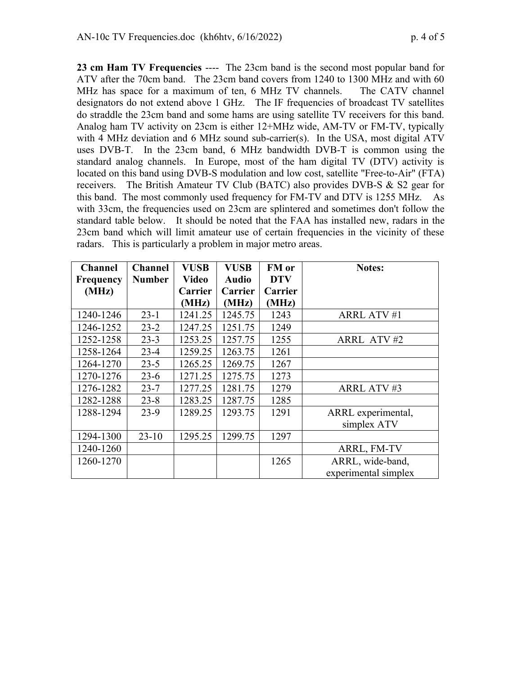**23 cm Ham TV Frequencies** ---- The 23cm band is the second most popular band for ATV after the 70cm band. The 23cm band covers from 1240 to 1300 MHz and with 60 MHz has space for a maximum of ten, 6 MHz TV channels. The CATV channel designators do not extend above 1 GHz. The IF frequencies of broadcast TV satellites do straddle the 23cm band and some hams are using satellite TV receivers for this band. Analog ham TV activity on 23cm is either 12+MHz wide, AM-TV or FM-TV, typically with 4 MHz deviation and 6 MHz sound sub-carrier(s). In the USA, most digital ATV uses DVB-T. In the 23cm band, 6 MHz bandwidth DVB-T is common using the standard analog channels. In Europe, most of the ham digital TV (DTV) activity is located on this band using DVB-S modulation and low cost, satellite "Free-to-Air" (FTA) receivers. The British Amateur TV Club (BATC) also provides DVB-S & S2 gear for this band. The most commonly used frequency for FM-TV and DTV is 1255 MHz. As with 33cm, the frequencies used on 23cm are splintered and sometimes don't follow the standard table below. It should be noted that the FAA has installed new, radars in the 23cm band which will limit amateur use of certain frequencies in the vicinity of these radars. This is particularly a problem in major metro areas.

| <b>Channel</b>   | <b>Channel</b> | <b>VUSB</b> | <b>VUSB</b>  | FM or          | <b>Notes:</b>        |
|------------------|----------------|-------------|--------------|----------------|----------------------|
| <b>Frequency</b> | <b>Number</b>  | Video       | <b>Audio</b> | <b>DTV</b>     |                      |
| (MHz)            |                | Carrier     | Carrier      | <b>Carrier</b> |                      |
|                  |                | (MHz)       | (MHz)        | (MHz)          |                      |
| 1240-1246        | $23 - 1$       | 1241.25     | 1245.75      | 1243           | <b>ARRL ATV #1</b>   |
| 1246-1252        | $23 - 2$       | 1247.25     | 1251.75      | 1249           |                      |
| 1252-1258        | $23 - 3$       | 1253.25     | 1257.75      | 1255           | ARRL ATV#2           |
| 1258-1264        | $23-4$         | 1259.25     | 1263.75      | 1261           |                      |
| 1264-1270        | $23 - 5$       | 1265.25     | 1269.75      | 1267           |                      |
| 1270-1276        | $23-6$         | 1271.25     | 1275.75      | 1273           |                      |
| 1276-1282        | $23 - 7$       | 1277.25     | 1281.75      | 1279           | <b>ARRL ATV#3</b>    |
| 1282-1288        | $23 - 8$       | 1283.25     | 1287.75      | 1285           |                      |
| 1288-1294        | $23-9$         | 1289.25     | 1293.75      | 1291           | ARRL experimental,   |
|                  |                |             |              |                | simplex ATV          |
| 1294-1300        | $23-10$        | 1295.25     | 1299.75      | 1297           |                      |
| 1240-1260        |                |             |              |                | ARRL, FM-TV          |
| 1260-1270        |                |             |              | 1265           | ARRL, wide-band,     |
|                  |                |             |              |                | experimental simplex |